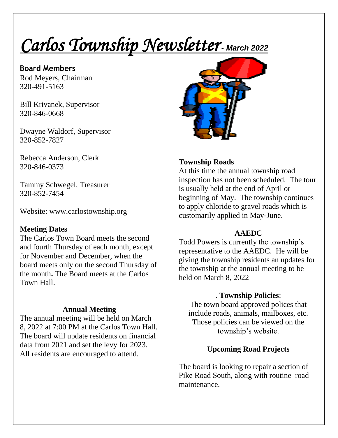# *Carlos Township Newsletter - March <sup>2022</sup>*

**Board Members**  Rod Meyers, Chairman 320-491-5163

Bill Krivanek, Supervisor 320-846-0668

Dwayne Waldorf, Supervisor 320-852-7827

Rebecca Anderson, Clerk 320-846-0373

Tammy Schwegel, Treasurer 320-852-7454

Website: [www.carlostownship.org](http://www.carlostownship.org/)

#### **Meeting Dates**

The Carlos Town Board meets the second and fourth Thursday of each month, except for November and December, when the board meets only on the second Thursday of the month**.** The Board meets at the Carlos Town Hall.

## **Annual Meeting**

The annual meeting will be held on March 8, 2022 at 7:00 PM at the Carlos Town Hall. The board will update residents on financial data from 2021 and set the levy for 2023. All residents are encouraged to attend.



## **Township Roads**

At this time the annual township road inspection has not been scheduled. The tour is usually held at the end of April or beginning of May. The township continues to apply chloride to gravel roads which is customarily applied in May-June.

#### **AAEDC**

Todd Powers is currently the township's representative to the AAEDC. He will be giving the township residents an updates for the township at the annual meeting to be held on March 8, 2022

## . **Township Policies**:

The town board approved polices that include roads, animals, mailboxes, etc. Those policies can be viewed on the township's website.

# **Upcoming Road Projects**

The board is looking to repair a section of Pike Road South, along with routine road maintenance.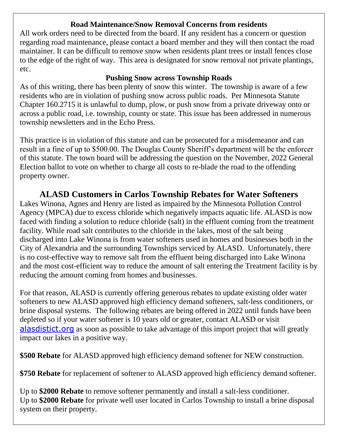#### **Road Maintenance/Snow Removal Concerns from residents**

All work orders need to be directed from the board. If any resident has a concern or question regarding road maintenance, please contact a board member and they will then contact the road maintainer. It can be difficult to remove snow when residents plant trees or install fences close to the edge of the right of way. This area is designated for snow removal not private plantings, etc.

## **Pushing Snow across Township Roads**

As of this writing, there has been plenty of snow this winter. The township is aware of a few residents who are in violation of pushing snow across public roads. Per Minnesota Statute Chapter 160.2715 it is unlawful to dump, plow, or push snow from a private driveway onto or across a public road, i.e. township, county or state. This issue has been addressed in numerous township newsletters and in the Echo Press.

This practice is in violation of this statute and can be prosecuted for a misdemeanor and can result in a fine of up to \$500.00. The Douglas County Sheriff's department will be the enforcer of this statute. The town board will be addressing the question on the November, 2022 General Election ballot to vote on whether to charge all costs to re-blade the road to the offending property owner.

# **ALASD Customers in Carlos Township Rebates for Water Softeners**

Lakes Winona, Agnes and Henry are listed as impaired by the Minnesota Pollution Control Agency (MPCA) due to excess chloride which negatively impacts aquatic life. ALASD is now faced with finding a solution to reduce chloride (salt) in the effluent coming from the treatment facility. While road salt contributes to the chloride in the lakes, most of the salt being discharged into Lake Winona is from water softeners used in homes and businesses both in the City of Alexandria and the surrounding Townships serviced by ALASD. Unfortunately, there is no cost-effective way to remove salt from the effluent being discharged into Lake Winona and the most cost-efficient way to reduce the amount of salt entering the Treatment facility is by reducing the amount coming from homes and businesses.

For that reason, ALASD is currently offering generous rebates to update existing older water softeners to new ALASD approved high efficiency demand softeners, salt-less conditioners, or brine disposal systems. The following rebates are being offered in 2022 until funds have been depleted so if your water softener is 10 years old or greater, contact ALASD or visit [alasdistict.org](http://www.alasdistict.org/) as soon as possible to take advantage of this import project that will greatly impact our lakes in a positive way.

**\$500 Rebate** for ALASD approved high efficiency demand softener for NEW construction.

**\$750 Rebate** for replacement of softener to ALASD approved high efficiency demand softener.

Up to **\$2000 Rebate** to remove softener permanently and install a salt-less conditioner. Up to **\$2000 Rebate** for private well user located in Carlos Township to install a brine disposal system on their property.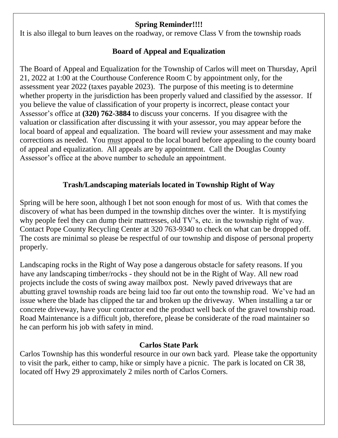## **Spring Reminder!!!!**

It is also illegal to burn leaves on the roadway, or remove Class V from the township roads

## **Board of Appeal and Equalization**

The Board of Appeal and Equalization for the Township of Carlos will meet on Thursday, April 21, 2022 at 1:00 at the Courthouse Conference Room C by appointment only, for the assessment year 2022 (taxes payable 2023). The purpose of this meeting is to determine whether property in the jurisdiction has been properly valued and classified by the assessor. If you believe the value of classification of your property is incorrect, please contact your Assessor's office at **(320) 762-3884** to discuss your concerns. If you disagree with the valuation or classification after discussing it with your assessor, you may appear before the local board of appeal and equalization. The board will review your assessment and may make corrections as needed. You must appeal to the local board before appealing to the county board of appeal and equalization. All appeals are by appointment. Call the Douglas County Assessor's office at the above number to schedule an appointment.

## **Trash/Landscaping materials located in Township Right of Way**

Spring will be here soon, although I bet not soon enough for most of us. With that comes the discovery of what has been dumped in the township ditches over the winter. It is mystifying why people feel they can dump their mattresses, old TV's, etc. in the township right of way. Contact Pope County Recycling Center at 320 763-9340 to check on what can be dropped off. The costs are minimal so please be respectful of our township and dispose of personal property properly.

Landscaping rocks in the Right of Way pose a dangerous obstacle for safety reasons. If you have any landscaping timber/rocks - they should not be in the Right of Way. All new road projects include the costs of swing away mailbox post. Newly paved driveways that are abutting gravel township roads are being laid too far out onto the township road. We've had an issue where the blade has clipped the tar and broken up the driveway. When installing a tar or concrete driveway, have your contractor end the product well back of the gravel township road. Road Maintenance is a difficult job, therefore, please be considerate of the road maintainer so he can perform his job with safety in mind.

## **Carlos State Park**

Carlos Township has this wonderful resource in our own back yard. Please take the opportunity to visit the park, either to camp, hike or simply have a picnic. The park is located on CR 38, located off Hwy 29 approximately 2 miles north of Carlos Corners.